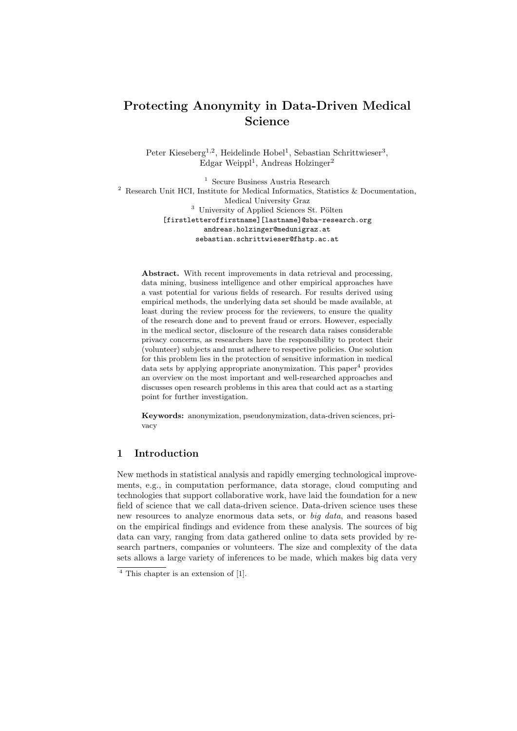# Protecting Anonymity in Data-Driven Medical Science

Peter Kieseberg<sup>1,2</sup>, Heidelinde Hobel<sup>1</sup>, Sebastian Schrittwieser<sup>3</sup>, Edgar Weippl<sup>1</sup>, Andreas Holzinger<sup>2</sup>

 $^{\rm 1}$  Secure Business Austria Research <sup>2</sup> Research Unit HCI, Institute for Medical Informatics, Statistics & Documentation, Medical University Graz  $^3$ University of Applied Sciences St. Pölten [firstletteroffirstname][lastname]@sba-research.org andreas.holzinger@medunigraz.at sebastian.schrittwieser@fhstp.ac.at

Abstract. With recent improvements in data retrieval and processing, data mining, business intelligence and other empirical approaches have a vast potential for various fields of research. For results derived using empirical methods, the underlying data set should be made available, at least during the review process for the reviewers, to ensure the quality of the research done and to prevent fraud or errors. However, especially in the medical sector, disclosure of the research data raises considerable privacy concerns, as researchers have the responsibility to protect their (volunteer) subjects and must adhere to respective policies. One solution for this problem lies in the protection of sensitive information in medical data sets by applying appropriate anonymization. This paper<sup>4</sup> provides an overview on the most important and well-researched approaches and discusses open research problems in this area that could act as a starting point for further investigation.

Keywords: anonymization, pseudonymization, data-driven sciences, privacy

# 1 Introduction

New methods in statistical analysis and rapidly emerging technological improvements, e.g., in computation performance, data storage, cloud computing and technologies that support collaborative work, have laid the foundation for a new field of science that we call data-driven science. Data-driven science uses these new resources to analyze enormous data sets, or big data, and reasons based on the empirical findings and evidence from these analysis. The sources of big data can vary, ranging from data gathered online to data sets provided by research partners, companies or volunteers. The size and complexity of the data sets allows a large variety of inferences to be made, which makes big data very

<sup>4</sup> This chapter is an extension of [1].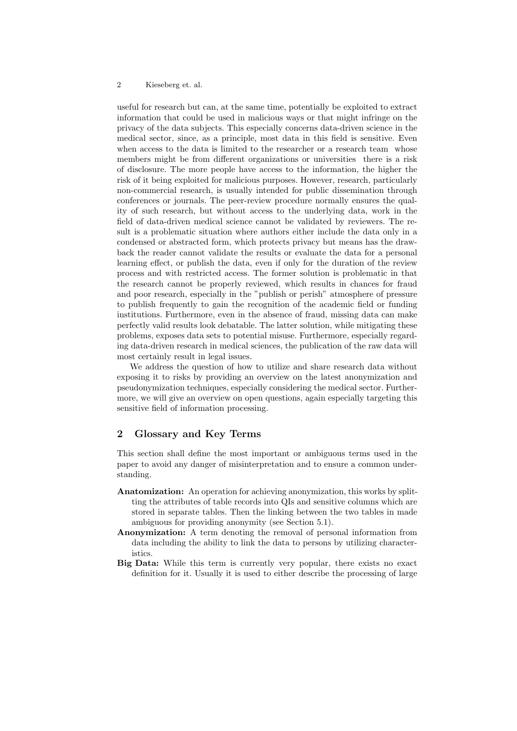useful for research but can, at the same time, potentially be exploited to extract information that could be used in malicious ways or that might infringe on the privacy of the data subjects. This especially concerns data-driven science in the medical sector, since, as a principle, most data in this field is sensitive. Even when access to the data is limited to the researcher or a research team whose members might be from different organizations or universities there is a risk of disclosure. The more people have access to the information, the higher the risk of it being exploited for malicious purposes. However, research, particularly non-commercial research, is usually intended for public dissemination through conferences or journals. The peer-review procedure normally ensures the quality of such research, but without access to the underlying data, work in the field of data-driven medical science cannot be validated by reviewers. The result is a problematic situation where authors either include the data only in a condensed or abstracted form, which protects privacy but means has the drawback the reader cannot validate the results or evaluate the data for a personal learning effect, or publish the data, even if only for the duration of the review process and with restricted access. The former solution is problematic in that the research cannot be properly reviewed, which results in chances for fraud and poor research, especially in the "publish or perish" atmosphere of pressure to publish frequently to gain the recognition of the academic field or funding institutions. Furthermore, even in the absence of fraud, missing data can make perfectly valid results look debatable. The latter solution, while mitigating these problems, exposes data sets to potential misuse. Furthermore, especially regarding data-driven research in medical sciences, the publication of the raw data will most certainly result in legal issues.

We address the question of how to utilize and share research data without exposing it to risks by providing an overview on the latest anonymization and pseudonymization techniques, especially considering the medical sector. Furthermore, we will give an overview on open questions, again especially targeting this sensitive field of information processing.

# 2 Glossary and Key Terms

This section shall define the most important or ambiguous terms used in the paper to avoid any danger of misinterpretation and to ensure a common understanding.

- Anatomization: An operation for achieving anonymization, this works by splitting the attributes of table records into QIs and sensitive columns which are stored in separate tables. Then the linking between the two tables in made ambiguous for providing anonymity (see Section 5.1).
- Anonymization: A term denoting the removal of personal information from data including the ability to link the data to persons by utilizing characteristics.
- Big Data: While this term is currently very popular, there exists no exact definition for it. Usually it is used to either describe the processing of large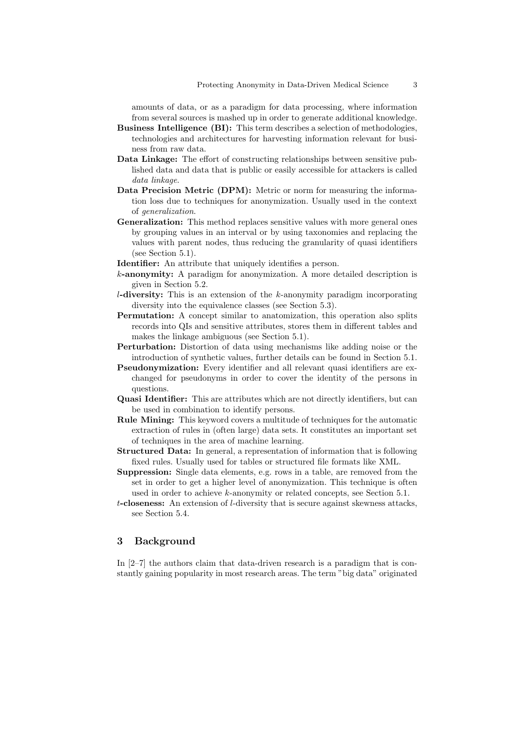amounts of data, or as a paradigm for data processing, where information from several sources is mashed up in order to generate additional knowledge.

- Business Intelligence (BI): This term describes a selection of methodologies, technologies and architectures for harvesting information relevant for business from raw data.
- Data Linkage: The effort of constructing relationships between sensitive published data and data that is public or easily accessible for attackers is called data linkage.
- Data Precision Metric (DPM): Metric or norm for measuring the information loss due to techniques for anonymization. Usually used in the context of generalization.
- Generalization: This method replaces sensitive values with more general ones by grouping values in an interval or by using taxonomies and replacing the values with parent nodes, thus reducing the granularity of quasi identifiers (see Section 5.1).
- Identifier: An attribute that uniquely identifies a person.
- k-anonymity: A paradigm for anonymization. A more detailed description is given in Section 5.2.
- $l$ -diversity: This is an extension of the k-anonymity paradigm incorporating diversity into the equivalence classes (see Section 5.3).
- Permutation: A concept similar to anatomization, this operation also splits records into QIs and sensitive attributes, stores them in different tables and makes the linkage ambiguous (see Section 5.1).
- Perturbation: Distortion of data using mechanisms like adding noise or the introduction of synthetic values, further details can be found in Section 5.1.
- Pseudonymization: Every identifier and all relevant quasi identifiers are exchanged for pseudonyms in order to cover the identity of the persons in questions.
- Quasi Identifier: This are attributes which are not directly identifiers, but can be used in combination to identify persons.
- Rule Mining: This keyword covers a multitude of techniques for the automatic extraction of rules in (often large) data sets. It constitutes an important set of techniques in the area of machine learning.
- Structured Data: In general, a representation of information that is following fixed rules. Usually used for tables or structured file formats like XML.
- Suppression: Single data elements, e.g. rows in a table, are removed from the set in order to get a higher level of anonymization. This technique is often used in order to achieve k-anonymity or related concepts, see Section 5.1.
- t-closeness: An extension of l-diversity that is secure against skewness attacks, see Section 5.4.

# 3 Background

In [2–7] the authors claim that data-driven research is a paradigm that is constantly gaining popularity in most research areas. The term "big data" originated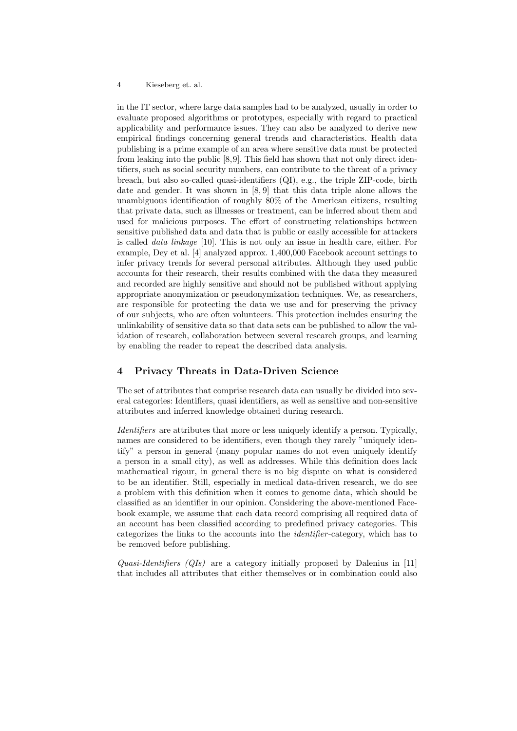in the IT sector, where large data samples had to be analyzed, usually in order to evaluate proposed algorithms or prototypes, especially with regard to practical applicability and performance issues. They can also be analyzed to derive new empirical findings concerning general trends and characteristics. Health data publishing is a prime example of an area where sensitive data must be protected from leaking into the public [8,9]. This field has shown that not only direct identifiers, such as social security numbers, can contribute to the threat of a privacy breach, but also so-called quasi-identifiers (QI), e.g., the triple ZIP-code, birth date and gender. It was shown in [8, 9] that this data triple alone allows the unambiguous identification of roughly 80% of the American citizens, resulting that private data, such as illnesses or treatment, can be inferred about them and used for malicious purposes. The effort of constructing relationships between sensitive published data and data that is public or easily accessible for attackers is called data linkage [10]. This is not only an issue in health care, either. For example, Dey et al. [4] analyzed approx. 1,400,000 Facebook account settings to infer privacy trends for several personal attributes. Although they used public accounts for their research, their results combined with the data they measured and recorded are highly sensitive and should not be published without applying appropriate anonymization or pseudonymization techniques. We, as researchers, are responsible for protecting the data we use and for preserving the privacy of our subjects, who are often volunteers. This protection includes ensuring the unlinkability of sensitive data so that data sets can be published to allow the validation of research, collaboration between several research groups, and learning by enabling the reader to repeat the described data analysis.

### 4 Privacy Threats in Data-Driven Science

The set of attributes that comprise research data can usually be divided into several categories: Identifiers, quasi identifiers, as well as sensitive and non-sensitive attributes and inferred knowledge obtained during research.

Identifiers are attributes that more or less uniquely identify a person. Typically, names are considered to be identifiers, even though they rarely "uniquely identify" a person in general (many popular names do not even uniquely identify a person in a small city), as well as addresses. While this definition does lack mathematical rigour, in general there is no big dispute on what is considered to be an identifier. Still, especially in medical data-driven research, we do see a problem with this definition when it comes to genome data, which should be classified as an identifier in our opinion. Considering the above-mentioned Facebook example, we assume that each data record comprising all required data of an account has been classified according to predefined privacy categories. This categorizes the links to the accounts into the identifier -category, which has to be removed before publishing.

*Quasi-Identifiers (QIs)* are a category initially proposed by Dalenius in [11] that includes all attributes that either themselves or in combination could also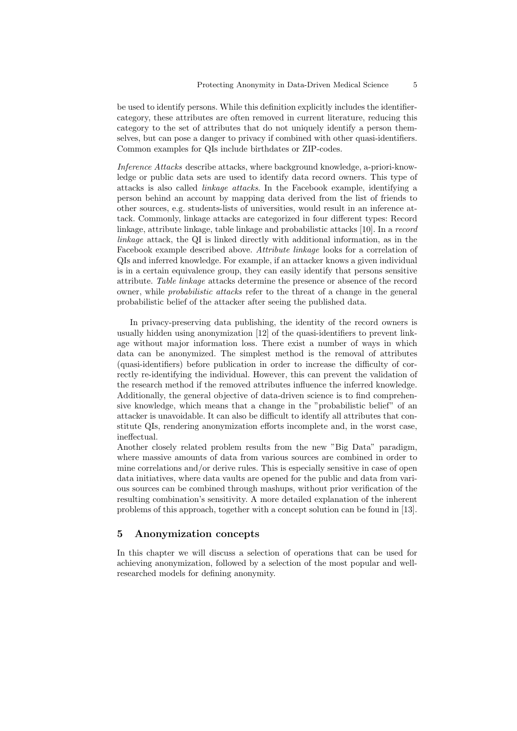be used to identify persons. While this definition explicitly includes the identifiercategory, these attributes are often removed in current literature, reducing this category to the set of attributes that do not uniquely identify a person themselves, but can pose a danger to privacy if combined with other quasi-identifiers. Common examples for QIs include birthdates or ZIP-codes.

Inference Attacks describe attacks, where background knowledge, a-priori-knowledge or public data sets are used to identify data record owners. This type of attacks is also called linkage attacks. In the Facebook example, identifying a person behind an account by mapping data derived from the list of friends to other sources, e.g. students-lists of universities, would result in an inference attack. Commonly, linkage attacks are categorized in four different types: Record linkage, attribute linkage, table linkage and probabilistic attacks [10]. In a record linkage attack, the QI is linked directly with additional information, as in the Facebook example described above. Attribute linkage looks for a correlation of QIs and inferred knowledge. For example, if an attacker knows a given individual is in a certain equivalence group, they can easily identify that persons sensitive attribute. Table linkage attacks determine the presence or absence of the record owner, while probabilistic attacks refer to the threat of a change in the general probabilistic belief of the attacker after seeing the published data.

In privacy-preserving data publishing, the identity of the record owners is usually hidden using anonymization [12] of the quasi-identifiers to prevent linkage without major information loss. There exist a number of ways in which data can be anonymized. The simplest method is the removal of attributes (quasi-identifiers) before publication in order to increase the difficulty of correctly re-identifying the individual. However, this can prevent the validation of the research method if the removed attributes influence the inferred knowledge. Additionally, the general objective of data-driven science is to find comprehensive knowledge, which means that a change in the "probabilistic belief" of an attacker is unavoidable. It can also be difficult to identify all attributes that constitute QIs, rendering anonymization efforts incomplete and, in the worst case, ineffectual.

Another closely related problem results from the new "Big Data" paradigm, where massive amounts of data from various sources are combined in order to mine correlations and/or derive rules. This is especially sensitive in case of open data initiatives, where data vaults are opened for the public and data from various sources can be combined through mashups, without prior verification of the resulting combination's sensitivity. A more detailed explanation of the inherent problems of this approach, together with a concept solution can be found in [13].

### 5 Anonymization concepts

In this chapter we will discuss a selection of operations that can be used for achieving anonymization, followed by a selection of the most popular and wellresearched models for defining anonymity.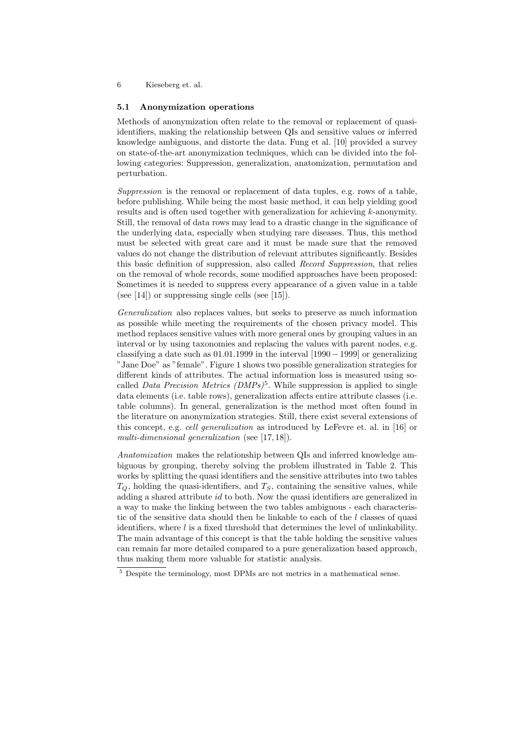### 5.1 Anonymization operations

Methods of anonymization often relate to the removal or replacement of quasiidentifiers, making the relationship between QIs and sensitive values or inferred knowledge ambiguous, and distorte the data. Fung et al. [10] provided a survey on state-of-the-art anonymization techniques, which can be divided into the following categories: Suppression, generalization, anatomization, permutation and perturbation.

Suppression is the removal or replacement of data tuples, e.g. rows of a table, before publishing. While being the most basic method, it can help yielding good results and is often used together with generalization for achieving k-anonymity. Still, the removal of data rows may lead to a drastic change in the significance of the underlying data, especially when studying rare diseases. Thus, this method must be selected with great care and it must be made sure that the removed values do not change the distribution of relevant attributes significantly. Besides this basic definition of suppression, also called Record Suppression, that relies on the removal of whole records, some modified approaches have been proposed: Sometimes it is needed to suppress every appearance of a given value in a table (see [14]) or suppressing single cells (see [15]).

Generalization also replaces values, but seeks to preserve as much information as possible while meeting the requirements of the chosen privacy model. This method replaces sensitive values with more general ones by grouping values in an interval or by using taxonomies and replacing the values with parent nodes, e.g. classifying a date such as  $01.01.1999$  in the interval  $[1990 - 1999]$  or generalizing "Jane Doe" as "female". Figure 1 shows two possible generalization strategies for different kinds of attributes. The actual information loss is measured using socalled *Data Precision Metrics*  $(DMPs)^5$ . While suppression is applied to single data elements (i.e. table rows), generalization affects entire attribute classes (i.e. table columns). In general, generalization is the method most often found in the literature on anonymization strategies. Still, there exist several extensions of this concept, e.g. cell generalization as introduced by LeFevre et. al. in [16] or multi-dimensional generalization (see [17, 18]).

Anatomization makes the relationship between QIs and inferred knowledge ambiguous by grouping, thereby solving the problem illustrated in Table 2. This works by splitting the quasi identifiers and the sensitive attributes into two tables  $T_Q$ , holding the quasi-identifiers, and  $T_S$ , containing the sensitive values, while adding a shared attribute id to both. Now the quasi identifiers are generalized in a way to make the linking between the two tables ambiguous - each characteristic of the sensitive data should then be linkable to each of the  $l$  classes of quasi identifiers, where  $l$  is a fixed threshold that determines the level of unlinkability. The main advantage of this concept is that the table holding the sensitive values can remain far more detailed compared to a pure generalization based approach, thus making them more valuable for statistic analysis.

<sup>5</sup> Despite the terminology, most DPMs are not metrics in a mathematical sense.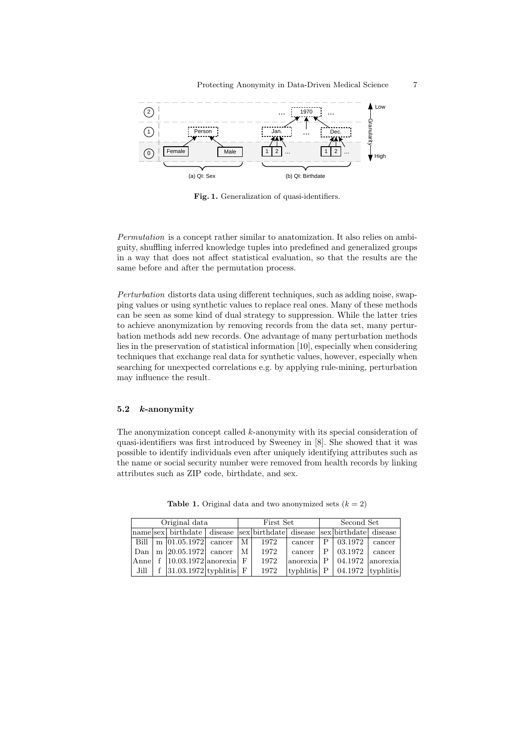

Fig. 1. Generalization of quasi-identifiers.

Permutation is a concept rather similar to anatomization. It also relies on ambiguity, shuffling inferred knowledge tuples into predefined and generalized groups in a way that does not affect statistical evaluation, so that the results are the same before and after the permutation process.

Perturbation distorts data using different techniques, such as adding noise, swapping values or using synthetic values to replace real ones. Many of these methods can be seen as some kind of dual strategy to suppression. While the latter tries to achieve anonymization by removing records from the data set, many perturbation methods add new records. One advantage of many perturbation methods lies in the preservation of statistical information [10], especially when considering techniques that exchange real data for synthetic values, however, especially when searching for unexpected correlations e.g. by applying rule-mining, perturbation may influence the result.

### 5.2 k-anonymity

The anonymization concept called  $k$ -anonymity with its special consideration of quasi-identifiers was first introduced by Sweeney in [8]. She showed that it was possible to identify individuals even after uniquely identifying attributes such as the name or social security number were removed from health records by linking attributes such as ZIP code, birthdate, and sex.

| Original data |  |                                                                        |  | First Set      |      |                     | Second Set |                     |        |
|---------------|--|------------------------------------------------------------------------|--|----------------|------|---------------------|------------|---------------------|--------|
|               |  | name sex birthdate disease sex birthdate disease sex birthdate disease |  |                |      |                     |            |                     |        |
| Bill          |  | m $ 01.05.1972 $ cancer                                                |  | M <sub>1</sub> | 1972 | cancer              |            | $P \mid 03.1972$    | cancer |
| Dan           |  | m $ 20.05.1972 $ cancer                                                |  | M              | 1972 | cancer              | P          | 03.1972             | cancer |
| Annel         |  | f   10.03.1972   anorexia $\mid$ F                                     |  |                | 1972 | anorexia            | P          | 04.1972   anorexia  |        |
| Jill          |  | f $ 31.03.1972 $ typhlitis F                                           |  |                | 1972 | $ $ typhlitis $ P $ |            | 04.1972   typhlitis |        |

**Table 1.** Original data and two anonymized sets  $(k = 2)$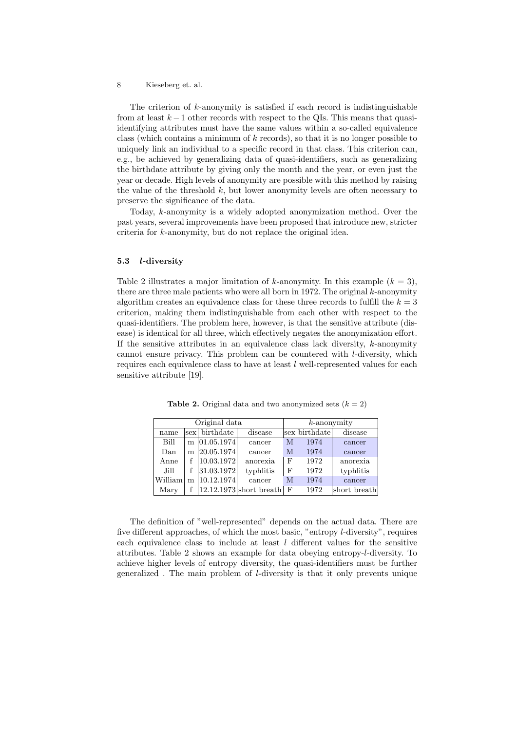The criterion of  $k$ -anonymity is satisfied if each record is indistinguishable from at least  $k-1$  other records with respect to the QIs. This means that quasiidentifying attributes must have the same values within a so-called equivalence class (which contains a minimum of  $k$  records), so that it is no longer possible to uniquely link an individual to a specific record in that class. This criterion can, e.g., be achieved by generalizing data of quasi-identifiers, such as generalizing the birthdate attribute by giving only the month and the year, or even just the year or decade. High levels of anonymity are possible with this method by raising the value of the threshold  $k$ , but lower anonymity levels are often necessary to preserve the significance of the data.

Today, k-anonymity is a widely adopted anonymization method. Over the past years, several improvements have been proposed that introduce new, stricter criteria for k-anonymity, but do not replace the original idea.

### 5.3 l-diversity

Table 2 illustrates a major limitation of k-anonymity. In this example  $(k = 3)$ , there are three male patients who were all born in 1972. The original  $k$ -anonymity algorithm creates an equivalence class for these three records to fulfill the  $k = 3$ criterion, making them indistinguishable from each other with respect to the quasi-identifiers. The problem here, however, is that the sensitive attribute (disease) is identical for all three, which effectively negates the anonymization effort. If the sensitive attributes in an equivalence class lack diversity,  $k$ -anonymity cannot ensure privacy. This problem can be countered with l-diversity, which requires each equivalence class to have at least l well-represented values for each sensitive attribute [19].

|             |     | Original data | $k$ -anonymity            |   |               |              |  |
|-------------|-----|---------------|---------------------------|---|---------------|--------------|--|
| name        | sex | birthdate     | disease                   |   | sex birthdate | disease      |  |
| <b>Bill</b> | m   | 01.05.1974    | cancer                    | M | 1974          | cancer       |  |
| Dan         | m   | 20.05.1974    | cancer                    | M | 1974          | cancer       |  |
| Anne        |     | 10.03.1972    | anorexia                  | F | 1972          | anorexia     |  |
| Jill        |     | 31.03.1972    | typhlitis                 | F | 1972          | typhlitis    |  |
| William     | m   | 10.12.1974    | cancer                    | М | 1974          | cancer       |  |
| Mary        |     |               | $12.12.1973$ short breath | F | 1972          | short breath |  |

Table 2. Original data and two anonymized sets  $(k = 2)$ 

The definition of "well-represented" depends on the actual data. There are five different approaches, of which the most basic, "entropy l-diversity", requires each equivalence class to include at least  $l$  different values for the sensitive attributes. Table 2 shows an example for data obeying entropy-l-diversity. To achieve higher levels of entropy diversity, the quasi-identifiers must be further generalized . The main problem of l-diversity is that it only prevents unique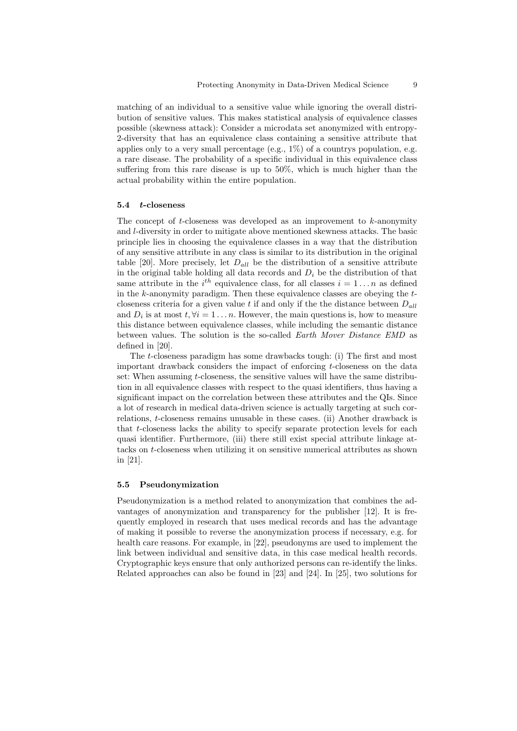matching of an individual to a sensitive value while ignoring the overall distribution of sensitive values. This makes statistical analysis of equivalence classes possible (skewness attack): Consider a microdata set anonymized with entropy-2-diversity that has an equivalence class containing a sensitive attribute that applies only to a very small percentage (e.g.,  $1\%$ ) of a countrys population, e.g. a rare disease. The probability of a specific individual in this equivalence class suffering from this rare disease is up to 50%, which is much higher than the actual probability within the entire population.

#### 5.4 t-closeness

The concept of  $t$ -closeness was developed as an improvement to  $k$ -anonymity and l-diversity in order to mitigate above mentioned skewness attacks. The basic principle lies in choosing the equivalence classes in a way that the distribution of any sensitive attribute in any class is similar to its distribution in the original table [20]. More precisely, let  $D_{all}$  be the distribution of a sensitive attribute in the original table holding all data records and  $D_i$  be the distribution of that same attribute in the  $i^{th}$  equivalence class, for all classes  $i = 1 \dots n$  as defined in the  $k$ -anonymity paradigm. Then these equivalence classes are obeying the  $t$ closeness criteria for a given value t if and only if the the distance between  $D_{all}$ and  $D_i$  is at most  $t, \forall i = 1 \dots n$ . However, the main questions is, how to measure this distance between equivalence classes, while including the semantic distance between values. The solution is the so-called Earth Mover Distance EMD as defined in [20].

The t-closeness paradigm has some drawbacks tough: (i) The first and most important drawback considers the impact of enforcing t-closeness on the data set: When assuming t-closeness, the sensitive values will have the same distribution in all equivalence classes with respect to the quasi identifiers, thus having a significant impact on the correlation between these attributes and the QIs. Since a lot of research in medical data-driven science is actually targeting at such correlations, t-closeness remains unusable in these cases. (ii) Another drawback is that t-closeness lacks the ability to specify separate protection levels for each quasi identifier. Furthermore, (iii) there still exist special attribute linkage attacks on t-closeness when utilizing it on sensitive numerical attributes as shown in [21].

#### 5.5 Pseudonymization

Pseudonymization is a method related to anonymization that combines the advantages of anonymization and transparency for the publisher [12]. It is frequently employed in research that uses medical records and has the advantage of making it possible to reverse the anonymization process if necessary, e.g. for health care reasons. For example, in [22], pseudonyms are used to implement the link between individual and sensitive data, in this case medical health records. Cryptographic keys ensure that only authorized persons can re-identify the links. Related approaches can also be found in [23] and [24]. In [25], two solutions for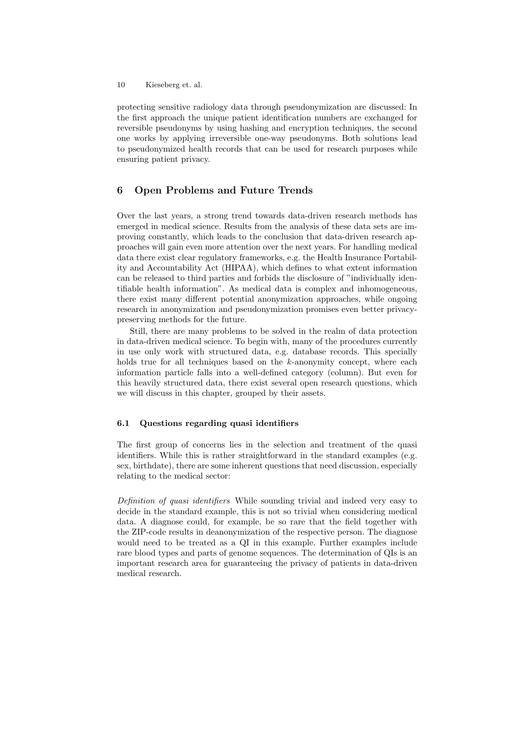protecting sensitive radiology data through pseudonymization are discussed: In the first approach the unique patient identification numbers are exchanged for reversible pseudonyms by using hashing and encryption techniques, the second one works by applying irreversible one-way pseudonyms. Both solutions lead to pseudonymized health records that can be used for research purposes while ensuring patient privacy.

# 6 Open Problems and Future Trends

Over the last years, a strong trend towards data-driven research methods has emerged in medical science. Results from the analysis of these data sets are improving constantly, which leads to the conclusion that data-driven research approaches will gain even more attention over the next years. For handling medical data there exist clear regulatory frameworks, e.g. the Health Insurance Portability and Accountability Act (HIPAA), which defines to what extent information can be released to third parties and forbids the disclosure of "individually identifiable health information". As medical data is complex and inhomogeneous, there exist many different potential anonymization approaches, while ongoing research in anonymization and pseudonymization promises even better privacypreserving methods for the future.

Still, there are many problems to be solved in the realm of data protection in data-driven medical science. To begin with, many of the procedures currently in use only work with structured data, e.g. database records. This specially holds true for all techniques based on the k-anonymity concept, where each information particle falls into a well-defined category (column). But even for this heavily structured data, there exist several open research questions, which we will discuss in this chapter, grouped by their assets.

### 6.1 Questions regarding quasi identifiers

The first group of concerns lies in the selection and treatment of the quasi identifiers. While this is rather straightforward in the standard examples (e.g. sex, birthdate), there are some inherent questions that need discussion, especially relating to the medical sector:

Definition of quasi identifiers While sounding trivial and indeed very easy to decide in the standard example, this is not so trivial when considering medical data. A diagnose could, for example, be so rare that the field together with the ZIP-code results in deanonymization of the respective person. The diagnose would need to be treated as a QI in this example. Further examples include rare blood types and parts of genome sequences. The determination of QIs is an important research area for guaranteeing the privacy of patients in data-driven medical research.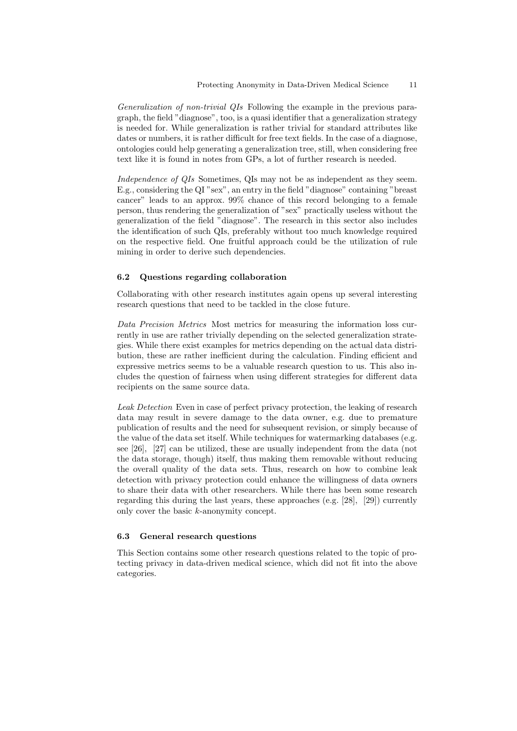Generalization of non-trivial QIs Following the example in the previous paragraph, the field "diagnose", too, is a quasi identifier that a generalization strategy is needed for. While generalization is rather trivial for standard attributes like dates or numbers, it is rather difficult for free text fields. In the case of a diagnose, ontologies could help generating a generalization tree, still, when considering free text like it is found in notes from GPs, a lot of further research is needed.

Independence of QIs Sometimes, QIs may not be as independent as they seem. E.g., considering the QI "sex", an entry in the field "diagnose" containing "breast cancer" leads to an approx. 99% chance of this record belonging to a female person, thus rendering the generalization of "sex" practically useless without the generalization of the field "diagnose". The research in this sector also includes the identification of such QIs, preferably without too much knowledge required on the respective field. One fruitful approach could be the utilization of rule mining in order to derive such dependencies.

#### 6.2 Questions regarding collaboration

Collaborating with other research institutes again opens up several interesting research questions that need to be tackled in the close future.

Data Precision Metrics Most metrics for measuring the information loss currently in use are rather trivially depending on the selected generalization strategies. While there exist examples for metrics depending on the actual data distribution, these are rather inefficient during the calculation. Finding efficient and expressive metrics seems to be a valuable research question to us. This also includes the question of fairness when using different strategies for different data recipients on the same source data.

Leak Detection Even in case of perfect privacy protection, the leaking of research data may result in severe damage to the data owner, e.g. due to premature publication of results and the need for subsequent revision, or simply because of the value of the data set itself. While techniques for watermarking databases (e.g. see [26], [27] can be utilized, these are usually independent from the data (not the data storage, though) itself, thus making them removable without reducing the overall quality of the data sets. Thus, research on how to combine leak detection with privacy protection could enhance the willingness of data owners to share their data with other researchers. While there has been some research regarding this during the last years, these approaches (e.g. [28], [29]) currently only cover the basic k-anonymity concept.

## 6.3 General research questions

This Section contains some other research questions related to the topic of protecting privacy in data-driven medical science, which did not fit into the above categories.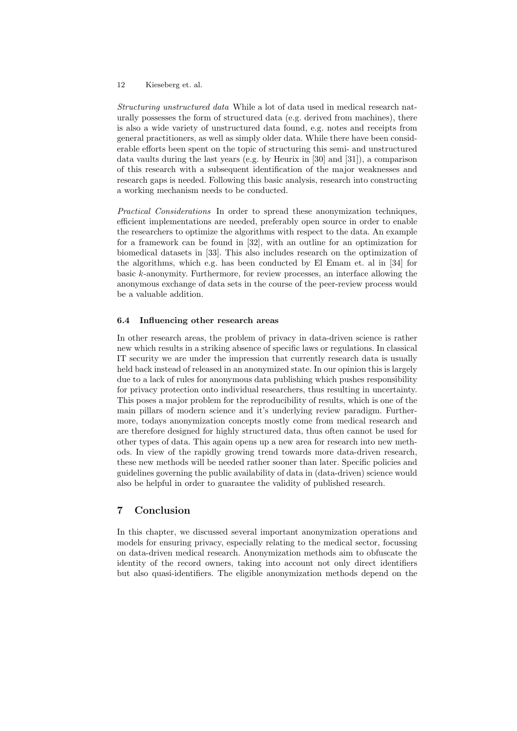Structuring unstructured data While a lot of data used in medical research naturally possesses the form of structured data (e.g. derived from machines), there is also a wide variety of unstructured data found, e.g. notes and receipts from general practitioners, as well as simply older data. While there have been considerable efforts been spent on the topic of structuring this semi- and unstructured data vaults during the last years (e.g. by Heurix in [30] and [31]), a comparison of this research with a subsequent identification of the major weaknesses and research gaps is needed. Following this basic analysis, research into constructing a working mechanism needs to be conducted.

Practical Considerations In order to spread these anonymization techniques, efficient implementations are needed, preferably open source in order to enable the researchers to optimize the algorithms with respect to the data. An example for a framework can be found in [32], with an outline for an optimization for biomedical datasets in [33]. This also includes research on the optimization of the algorithms, which e.g. has been conducted by El Emam et. al in [34] for basic k-anonymity. Furthermore, for review processes, an interface allowing the anonymous exchange of data sets in the course of the peer-review process would be a valuable addition.

#### 6.4 Influencing other research areas

In other research areas, the problem of privacy in data-driven science is rather new which results in a striking absence of specific laws or regulations. In classical IT security we are under the impression that currently research data is usually held back instead of released in an anonymized state. In our opinion this is largely due to a lack of rules for anonymous data publishing which pushes responsibility for privacy protection onto individual researchers, thus resulting in uncertainty. This poses a major problem for the reproducibility of results, which is one of the main pillars of modern science and it's underlying review paradigm. Furthermore, todays anonymization concepts mostly come from medical research and are therefore designed for highly structured data, thus often cannot be used for other types of data. This again opens up a new area for research into new methods. In view of the rapidly growing trend towards more data-driven research, these new methods will be needed rather sooner than later. Specific policies and guidelines governing the public availability of data in (data-driven) science would also be helpful in order to guarantee the validity of published research.

# 7 Conclusion

In this chapter, we discussed several important anonymization operations and models for ensuring privacy, especially relating to the medical sector, focussing on data-driven medical research. Anonymization methods aim to obfuscate the identity of the record owners, taking into account not only direct identifiers but also quasi-identifiers. The eligible anonymization methods depend on the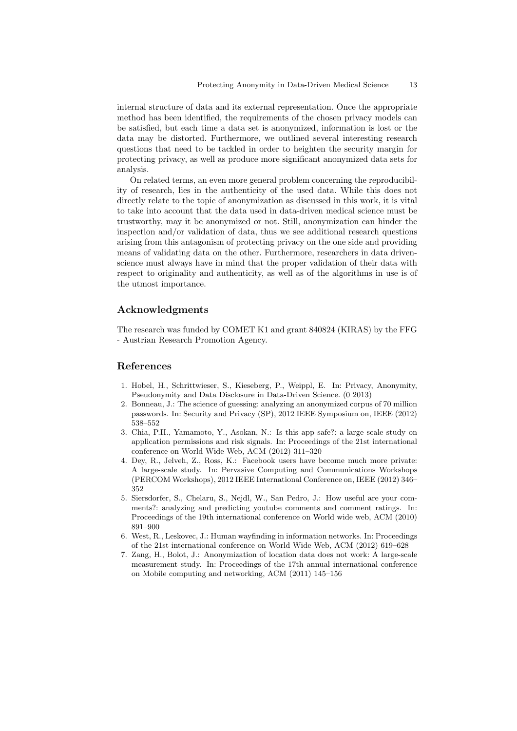internal structure of data and its external representation. Once the appropriate method has been identified, the requirements of the chosen privacy models can be satisfied, but each time a data set is anonymized, information is lost or the data may be distorted. Furthermore, we outlined several interesting research questions that need to be tackled in order to heighten the security margin for protecting privacy, as well as produce more significant anonymized data sets for analysis.

On related terms, an even more general problem concerning the reproducibility of research, lies in the authenticity of the used data. While this does not directly relate to the topic of anonymization as discussed in this work, it is vital to take into account that the data used in data-driven medical science must be trustworthy, may it be anonymized or not. Still, anonymization can hinder the inspection and/or validation of data, thus we see additional research questions arising from this antagonism of protecting privacy on the one side and providing means of validating data on the other. Furthermore, researchers in data drivenscience must always have in mind that the proper validation of their data with respect to originality and authenticity, as well as of the algorithms in use is of the utmost importance.

# Acknowledgments

The research was funded by COMET K1 and grant 840824 (KIRAS) by the FFG - Austrian Research Promotion Agency.

# References

- 1. Hobel, H., Schrittwieser, S., Kieseberg, P., Weippl, E. In: Privacy, Anonymity, Pseudonymity and Data Disclosure in Data-Driven Science. (0 2013)
- 2. Bonneau, J.: The science of guessing: analyzing an anonymized corpus of 70 million passwords. In: Security and Privacy (SP), 2012 IEEE Symposium on, IEEE (2012) 538–552
- 3. Chia, P.H., Yamamoto, Y., Asokan, N.: Is this app safe?: a large scale study on application permissions and risk signals. In: Proceedings of the 21st international conference on World Wide Web, ACM (2012) 311–320
- 4. Dey, R., Jelveh, Z., Ross, K.: Facebook users have become much more private: A large-scale study. In: Pervasive Computing and Communications Workshops (PERCOM Workshops), 2012 IEEE International Conference on, IEEE (2012) 346– 352
- 5. Siersdorfer, S., Chelaru, S., Nejdl, W., San Pedro, J.: How useful are your comments?: analyzing and predicting youtube comments and comment ratings. In: Proceedings of the 19th international conference on World wide web, ACM (2010) 891–900
- 6. West, R., Leskovec, J.: Human wayfinding in information networks. In: Proceedings of the 21st international conference on World Wide Web, ACM (2012) 619–628
- 7. Zang, H., Bolot, J.: Anonymization of location data does not work: A large-scale measurement study. In: Proceedings of the 17th annual international conference on Mobile computing and networking, ACM (2011) 145–156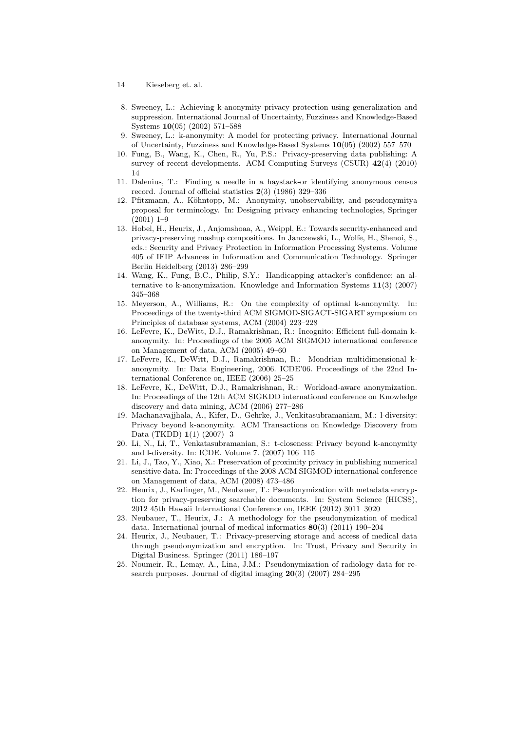- 14 Kieseberg et. al.
- 8. Sweeney, L.: Achieving k-anonymity privacy protection using generalization and suppression. International Journal of Uncertainty, Fuzziness and Knowledge-Based Systems 10(05) (2002) 571–588
- 9. Sweeney, L.: k-anonymity: A model for protecting privacy. International Journal of Uncertainty, Fuzziness and Knowledge-Based Systems 10(05) (2002) 557–570
- 10. Fung, B., Wang, K., Chen, R., Yu, P.S.: Privacy-preserving data publishing: A survey of recent developments. ACM Computing Surveys (CSUR) 42(4) (2010) 14
- 11. Dalenius, T.: Finding a needle in a haystack-or identifying anonymous census record. Journal of official statistics 2(3) (1986) 329–336
- 12. Pfitzmann, A., Köhntopp, M.: Anonymity, unobservability, and pseudonymitya proposal for terminology. In: Designing privacy enhancing technologies, Springer (2001) 1–9
- 13. Hobel, H., Heurix, J., Anjomshoaa, A., Weippl, E.: Towards security-enhanced and privacy-preserving mashup compositions. In Janczewski, L., Wolfe, H., Shenoi, S., eds.: Security and Privacy Protection in Information Processing Systems. Volume 405 of IFIP Advances in Information and Communication Technology. Springer Berlin Heidelberg (2013) 286–299
- 14. Wang, K., Fung, B.C., Philip, S.Y.: Handicapping attacker's confidence: an alternative to k-anonymization. Knowledge and Information Systems 11(3) (2007) 345–368
- 15. Meyerson, A., Williams, R.: On the complexity of optimal k-anonymity. In: Proceedings of the twenty-third ACM SIGMOD-SIGACT-SIGART symposium on Principles of database systems, ACM (2004) 223–228
- 16. LeFevre, K., DeWitt, D.J., Ramakrishnan, R.: Incognito: Efficient full-domain kanonymity. In: Proceedings of the 2005 ACM SIGMOD international conference on Management of data, ACM (2005) 49–60
- 17. LeFevre, K., DeWitt, D.J., Ramakrishnan, R.: Mondrian multidimensional kanonymity. In: Data Engineering, 2006. ICDE'06. Proceedings of the 22nd International Conference on, IEEE (2006) 25–25
- 18. LeFevre, K., DeWitt, D.J., Ramakrishnan, R.: Workload-aware anonymization. In: Proceedings of the 12th ACM SIGKDD international conference on Knowledge discovery and data mining, ACM (2006) 277–286
- 19. Machanavajjhala, A., Kifer, D., Gehrke, J., Venkitasubramaniam, M.: l-diversity: Privacy beyond k-anonymity. ACM Transactions on Knowledge Discovery from Data (TKDD) 1(1) (2007) 3
- 20. Li, N., Li, T., Venkatasubramanian, S.: t-closeness: Privacy beyond k-anonymity and l-diversity. In: ICDE. Volume 7. (2007) 106–115
- 21. Li, J., Tao, Y., Xiao, X.: Preservation of proximity privacy in publishing numerical sensitive data. In: Proceedings of the 2008 ACM SIGMOD international conference on Management of data, ACM (2008) 473–486
- 22. Heurix, J., Karlinger, M., Neubauer, T.: Pseudonymization with metadata encryption for privacy-preserving searchable documents. In: System Science (HICSS), 2012 45th Hawaii International Conference on, IEEE (2012) 3011–3020
- 23. Neubauer, T., Heurix, J.: A methodology for the pseudonymization of medical data. International journal of medical informatics 80(3) (2011) 190–204
- 24. Heurix, J., Neubauer, T.: Privacy-preserving storage and access of medical data through pseudonymization and encryption. In: Trust, Privacy and Security in Digital Business. Springer (2011) 186–197
- 25. Noumeir, R., Lemay, A., Lina, J.M.: Pseudonymization of radiology data for research purposes. Journal of digital imaging 20(3) (2007) 284–295